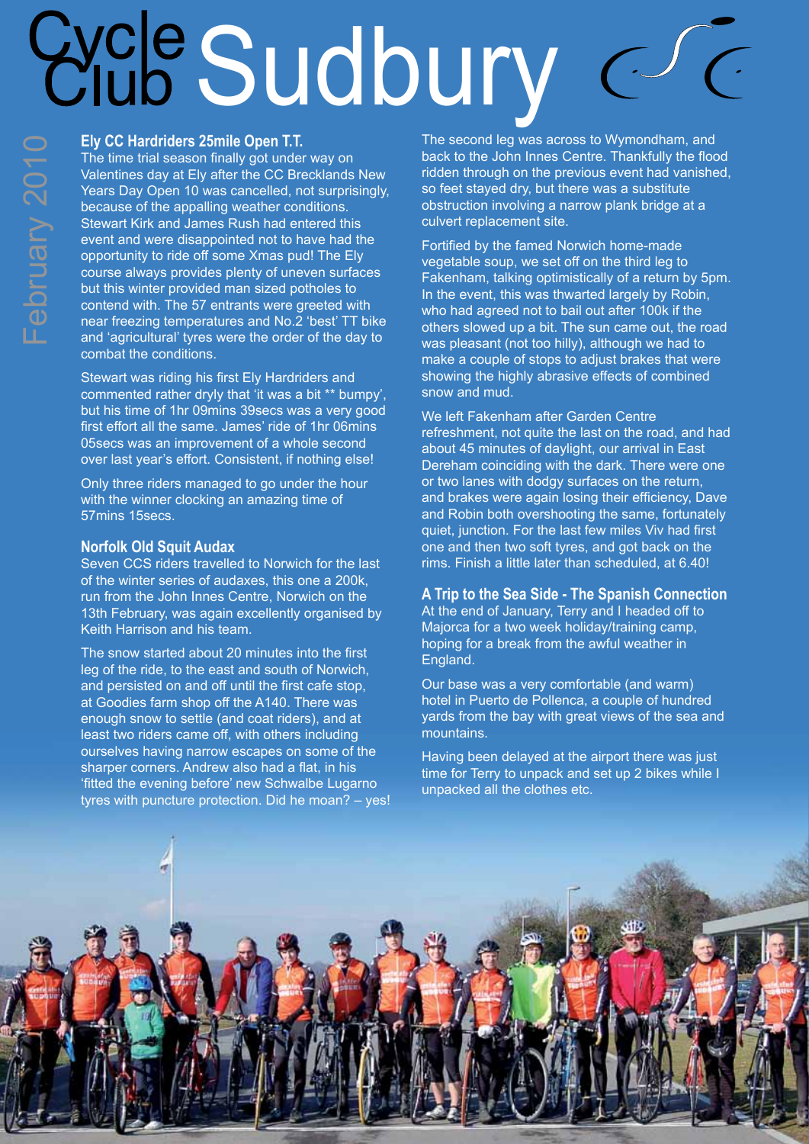# Sudbury

## **Ely CC Hardriders 25mile Open T.T.**

The time trial season finally got under way on Valentines day at Ely after the CC Brecklands New Years Day Open 10 was cancelled, not surprisingly, because of the appalling weather conditions. Stewart Kirk and James Rush had entered this event and were disappointed not to have had the opportunity to ride off some Xmas pud! The Ely course always provides plenty of uneven surfaces but this winter provided man sized potholes to contend with. The 57 entrants were greeted with near freezing temperatures and No.2 'best' TT bike and 'agricultural' tyres were the order of the day to combat the conditions.

Stewart was riding his first Ely Hardriders and commented rather dryly that 'it was a bit \*\* bumpy', but his time of 1hr 09mins 39secs was a very good first effort all the same. James' ride of 1hr 06mins 05secs was an improvement of a whole second over last year's effort. Consistent, if nothing else!

Only three riders managed to go under the hour with the winner clocking an amazing time of 57mins 15secs.

### **Norfolk Old Squit Audax**

Seven CCS riders travelled to Norwich for the last of the winter series of audaxes, this one a 200k, run from the John Innes Centre, Norwich on the 13th February, was again excellently organised by Keith Harrison and his team.

The snow started about 20 minutes into the first leg of the ride, to the east and south of Norwich, and persisted on and off until the first cafe stop, at Goodies farm shop off the A140. There was enough snow to settle (and coat riders), and at least two riders came off, with others including ourselves having narrow escapes on some of the sharper corners. Andrew also had a flat, in his 'fitted the evening before' new Schwalbe Lugarno tyres with puncture protection. Did he moan? – yes! The second leg was across to Wymondham, and back to the John Innes Centre. Thankfully the flood ridden through on the previous event had vanished, so feet stayed dry, but there was a substitute obstruction involving a narrow plank bridge at a culvert replacement site.

Fortified by the famed Norwich home-made vegetable soup, we set off on the third leg to Fakenham, talking optimistically of a return by 5pm. In the event, this was thwarted largely by Robin, who had agreed not to bail out after 100k if the others slowed up a bit. The sun came out, the road was pleasant (not too hilly), although we had to make a couple of stops to adjust brakes that were showing the highly abrasive effects of combined snow and mud.

We left Fakenham after Garden Centre refreshment, not quite the last on the road, and had about 45 minutes of daylight, our arrival in East Dereham coinciding with the dark. There were one or two lanes with dodgy surfaces on the return, and brakes were again losing their efficiency, Dave and Robin both overshooting the same, fortunately quiet, junction. For the last few miles Viv had first one and then two soft tyres, and got back on the rims. Finish a little later than scheduled, at 6.40!

**A Trip to the Sea Side - The Spanish Connection** At the end of January, Terry and I headed off to Majorca for a two week holiday/training camp, hoping for a break from the awful weather in England.

Our base was a very comfortable (and warm) hotel in Puerto de Pollenca, a couple of hundred yards from the bay with great views of the sea and mountains.

Having been delayed at the airport there was just time for Terry to unpack and set up 2 bikes while I unpacked all the clothes etc.

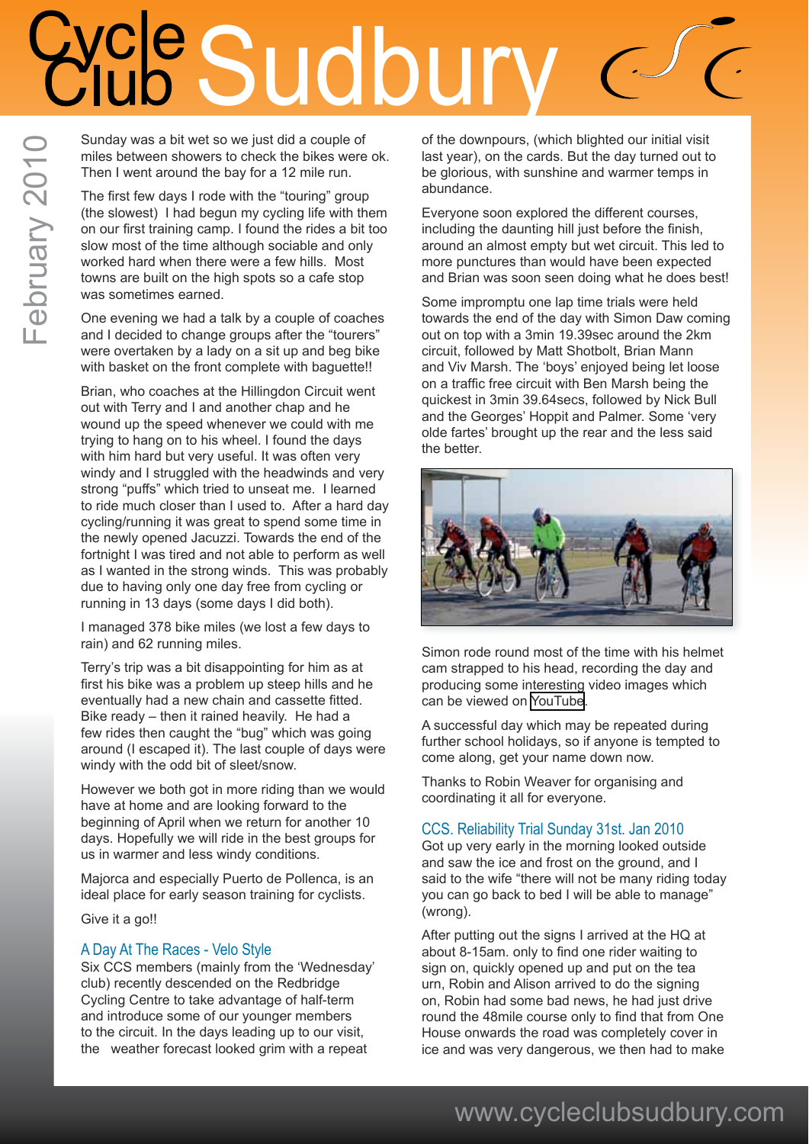# cle Sudbu

Sunday was a bit wet so we just did a couple of miles between showers to check the bikes were ok. Then I went around the bay for a 12 mile run.

The first few days I rode with the "touring" group (the slowest) I had begun my cycling life with them on our first training camp. I found the rides a bit too slow most of the time although sociable and only worked hard when there were a few hills. Most towns are built on the high spots so a cafe stop was sometimes earned.

February 2010

February 2010

One evening we had a talk by a couple of coaches and I decided to change groups after the "tourers" were overtaken by a lady on a sit up and beg bike with basket on the front complete with baguette!!

Brian, who coaches at the Hillingdon Circuit went out with Terry and I and another chap and he wound up the speed whenever we could with me trying to hang on to his wheel. I found the days with him hard but very useful. It was often very windy and I struggled with the headwinds and very strong "puffs" which tried to unseat me. I learned to ride much closer than I used to. After a hard day cycling/running it was great to spend some time in the newly opened Jacuzzi. Towards the end of the fortnight I was tired and not able to perform as well as I wanted in the strong winds. This was probably due to having only one day free from cycling or running in 13 days (some days I did both).

I managed 378 bike miles (we lost a few days to rain) and 62 running miles.

Terry's trip was a bit disappointing for him as at first his bike was a problem up steep hills and he eventually had a new chain and cassette fitted. Bike ready – then it rained heavily. He had a few rides then caught the "bug" which was going around (I escaped it). The last couple of days were windy with the odd bit of sleet/snow.

However we both got in more riding than we would have at home and are looking forward to the beginning of April when we return for another 10 days. Hopefully we will ride in the best groups for us in warmer and less windy conditions.

Majorca and especially Puerto de Pollenca, is an ideal place for early season training for cyclists.

Give it a go!!

### A Day At The Races - Velo Style

Six CCS members (mainly from the 'Wednesday' club) recently descended on the Redbridge Cycling Centre to take advantage of half-term and introduce some of our younger members to the circuit. In the days leading up to our visit, the weather forecast looked grim with a repeat

of the downpours, (which blighted our initial visit last year), on the cards. But the day turned out to be glorious, with sunshine and warmer temps in abundance.

Everyone soon explored the different courses, including the daunting hill just before the finish, around an almost empty but wet circuit. This led to more punctures than would have been expected and Brian was soon seen doing what he does best!

Some impromptu one lap time trials were held towards the end of the day with Simon Daw coming out on top with a 3min 19.39sec around the 2km circuit, followed by Matt Shotbolt, Brian Mann and Viv Marsh. The 'boys' enjoyed being let loose on a traffic free circuit with Ben Marsh being the quickest in 3min 39.64secs, followed by Nick Bull and the Georges' Hoppit and Palmer. Some 'very olde fartes' brought up the rear and the less said the better.



Simon rode round most of the time with his helmet cam strapped to his head, recording the day and producing some interesting video images which can be viewed on [YouTube](http://http://www.youtube.com/user/simondaw).

A successful day which may be repeated during further school holidays, so if anyone is tempted to come along, get your name down now.

Thanks to Robin Weaver for organising and coordinating it all for everyone.

### CCS. Reliability Trial Sunday 31st. Jan 2010

Got up very early in the morning looked outside and saw the ice and frost on the ground, and I said to the wife "there will not be many riding today you can go back to bed I will be able to manage" (wrong).

After putting out the signs I arrived at the HQ at about 8-15am. only to find one rider waiting to sign on, quickly opened up and put on the tea urn, Robin and Alison arrived to do the signing on, Robin had some bad news, he had just drive round the 48mile course only to find that from One House onwards the road was completely cover in ice and was very dangerous, we then had to make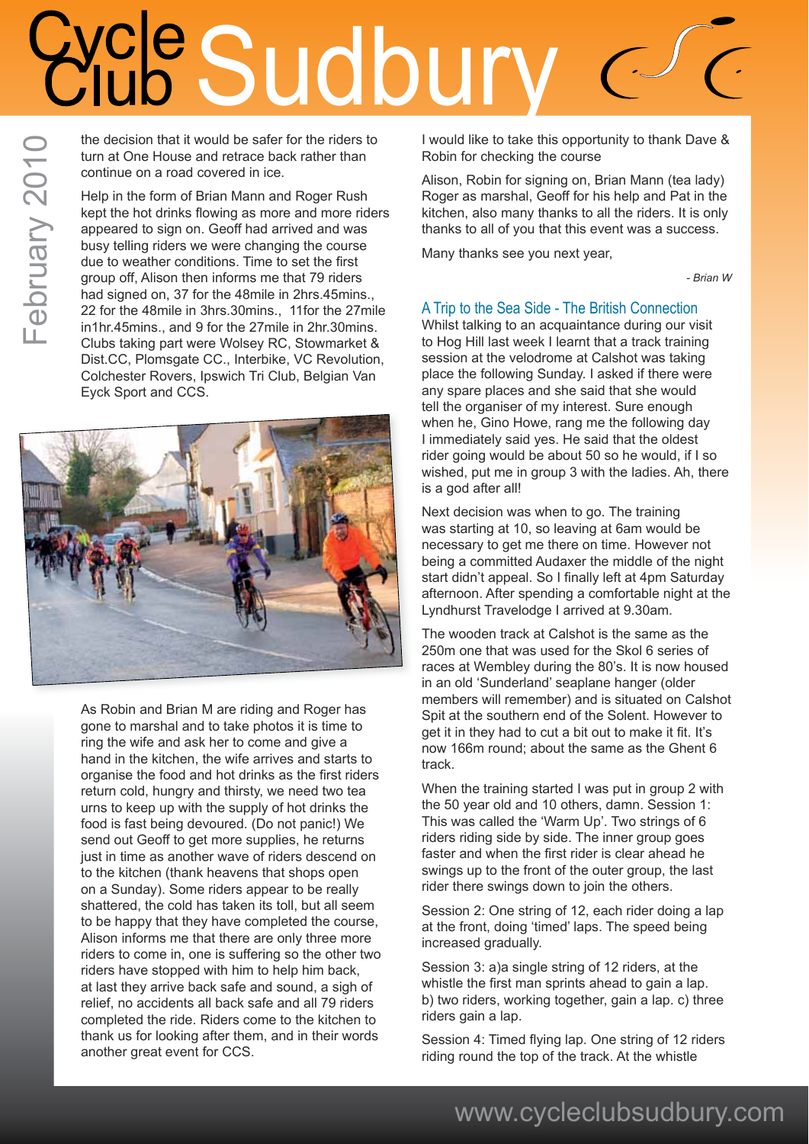# Sudbury

the decision that it would be safer for the riders to turn at One House and retrace back rather than continue on a road covered in ice.

Help in the form of Brian Mann and Roger Rush kept the hot drinks flowing as more and more riders appeared to sign on. Geoff had arrived and was busy telling riders we were changing the course due to weather conditions. Time to set the first group off, Alison then informs me that 79 riders had signed on, 37 for the 48mile in 2hrs.45mins., 22 for the 48mile in 3hrs.30mins., 11for the 27mile in1hr.45mins., and 9 for the 27mile in 2hr.30mins. Clubs taking part were Wolsey RC, Stowmarket & Dist.CC, Plomsgate CC., Interbike, VC Revolution, Colchester Rovers, Ipswich Tri Club, Belgian Van Eyck Sport and CCS.



As Robin and Brian M are riding and Roger has gone to marshal and to take photos it is time to ring the wife and ask her to come and give a hand in the kitchen, the wife arrives and starts to organise the food and hot drinks as the first riders return cold, hungry and thirsty, we need two tea urns to keep up with the supply of hot drinks the food is fast being devoured. (Do not panic!) We send out Geoff to get more supplies, he returns just in time as another wave of riders descend on to the kitchen (thank heavens that shops open on a Sunday). Some riders appear to be really shattered, the cold has taken its toll, but all seem to be happy that they have completed the course, Alison informs me that there are only three more riders to come in, one is suffering so the other two riders have stopped with him to help him back, at last they arrive back safe and sound, a sigh of relief, no accidents all back safe and all 79 riders completed the ride. Riders come to the kitchen to thank us for looking after them, and in their words another great event for CCS.

I would like to take this opportunity to thank Dave & Robin for checking the course

Alison, Robin for signing on, Brian Mann (tea lady) Roger as marshal, Geoff for his help and Pat in the kitchen, also many thanks to all the riders. It is only thanks to all of you that this event was a success.

Many thanks see you next year,

*- Brian W*

### A Trip to the Sea Side - The British Connection

Whilst talking to an acquaintance during our visit to Hog Hill last week I learnt that a track training session at the velodrome at Calshot was taking place the following Sunday. I asked if there were any spare places and she said that she would tell the organiser of my interest. Sure enough when he, Gino Howe, rang me the following day I immediately said yes. He said that the oldest rider going would be about 50 so he would, if I so wished, put me in group 3 with the ladies. Ah, there is a god after all!

Next decision was when to go. The training was starting at 10, so leaving at 6am would be necessary to get me there on time. However not being a committed Audaxer the middle of the night start didn't appeal. So I finally left at 4pm Saturday afternoon. After spending a comfortable night at the Lyndhurst Travelodge I arrived at 9.30am.

The wooden track at Calshot is the same as the 250m one that was used for the Skol 6 series of races at Wembley during the 80's. It is now housed in an old 'Sunderland' seaplane hanger (older members will remember) and is situated on Calshot Spit at the southern end of the Solent. However to get it in they had to cut a bit out to make it fit. It's now 166m round; about the same as the Ghent 6 track.

When the training started I was put in group 2 with the 50 year old and 10 others, damn. Session 1: This was called the 'Warm Up'. Two strings of 6 riders riding side by side. The inner group goes faster and when the first rider is clear ahead he swings up to the front of the outer group, the last rider there swings down to join the others.

Session 2: One string of 12, each rider doing a lap at the front, doing 'timed' laps. The speed being increased gradually.

Session 3: a)a single string of 12 riders, at the whistle the first man sprints ahead to gain a lap. b) two riders, working together, gain a lap. c) three riders gain a lap.

Session 4: Timed flying lap. One string of 12 riders riding round the top of the track. At the whistle